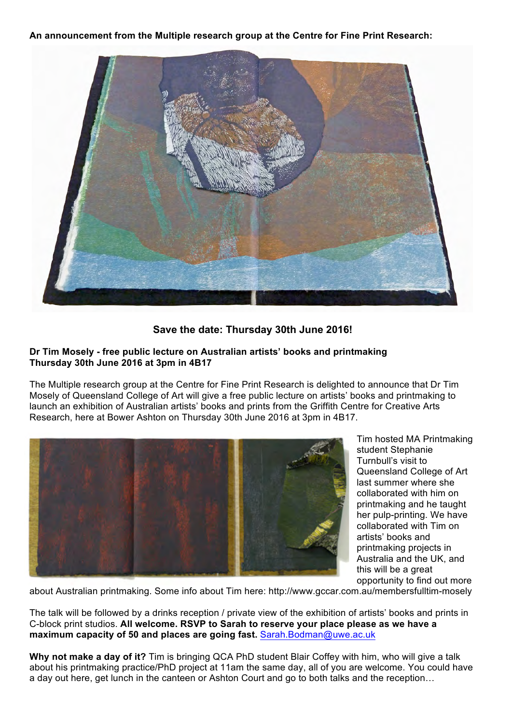**An announcement from the Multiple research group at the Centre for Fine Print Research:** 



**Save the date: Thursday 30th June 2016!**

## **Dr Tim Mosely - free public lecture on Australian artists' books and printmaking Thursday 30th June 2016 at 3pm in 4B17**

The Multiple research group at the Centre for Fine Print Research is delighted to announce that Dr Tim Mosely of Queensland College of Art will give a free public lecture on artists' books and printmaking to launch an exhibition of Australian artists' books and prints from the Griffith Centre for Creative Arts Research, here at Bower Ashton on Thursday 30th June 2016 at 3pm in 4B17.



Tim hosted MA Printmaking student Stephanie Turnbull's visit to Queensland College of Art last summer where she collaborated with him on printmaking and he taught her pulp-printing. We have collaborated with Tim on artists' books and printmaking projects in Australia and the UK, and this will be a great opportunity to find out more

about Australian printmaking. Some info about Tim here: http://www.gccar.com.au/membersfulltim-mosely

The talk will be followed by a drinks reception / private view of the exhibition of artists' books and prints in C-block print studios. **All welcome. RSVP to Sarah to reserve your place please as we have a maximum capacity of 50 and places are going fast.** Sarah.Bodman@uwe.ac.uk

**Why not make a day of it?** Tim is bringing QCA PhD student Blair Coffey with him, who will give a talk about his printmaking practice/PhD project at 11am the same day, all of you are welcome. You could have a day out here, get lunch in the canteen or Ashton Court and go to both talks and the reception…